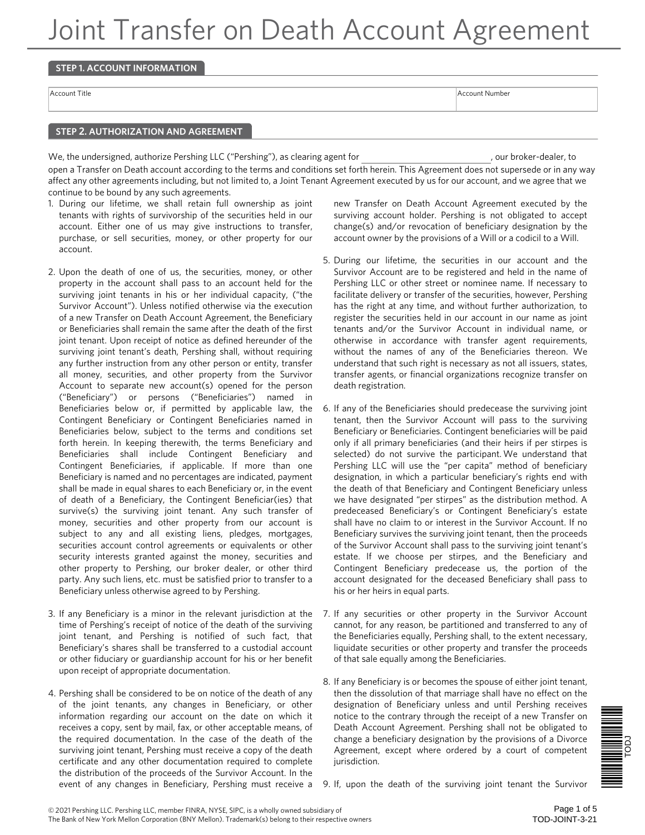## **STEP 1. ACCOUNT INFORMATION**

Account Title Account Number and Account Number and Account Number and Account Number and Account Number and A

#### **STEP 2. AUTHORIZATION AND AGREEMENT**

We, the undersigned, authorize Pershing LLC ("Pershing"), as clearing agent for  $\blacksquare$ , our broker-dealer, to open a Transfer on Death account according to the terms and conditions set forth herein. This Agreement does not supersede or in any way affect any other agreements including, but not limited to, a Joint Tenant Agreement executed by us for our account, and we agree that we continue to be bound by any such agreements.

- 1. During our lifetime, we shall retain full ownership as joint tenants with rights of survivorship of the securities held in our account. Either one of us may give instructions to transfer, purchase, or sell securities, money, or other property for our account.
- 2. Upon the death of one of us, the securities, money, or other property in the account shall pass to an account held for the surviving joint tenants in his or her individual capacity, ("the Survivor Account"). Unless notified otherwise via the execution of a new Transfer on Death Account Agreement, the Beneficiary or Beneficiaries shall remain the same after the death of the first joint tenant. Upon receipt of notice as defined hereunder of the surviving joint tenant's death, Pershing shall, without requiring any further instruction from any other person or entity, transfer all money, securities, and other property from the Survivor Account to separate new account(s) opened for the person ("Beneficiary") or persons ("Beneficiaries") named in Beneficiaries below or, if permitted by applicable law, the Contingent Beneficiary or Contingent Beneficiaries named in Beneficiaries below, subject to the terms and conditions set forth herein. In keeping therewith, the terms Beneficiary and Beneficiaries shall include Contingent Beneficiary and Contingent Beneficiaries, if applicable. If more than one Beneficiary is named and no percentages are indicated, payment shall be made in equal shares to each Beneficiary or, in the event of death of a Beneficiary, the Contingent Beneficiar(ies) that survive(s) the surviving joint tenant. Any such transfer of money, securities and other property from our account is subject to any and all existing liens, pledges, mortgages, securities account control agreements or equivalents or other security interests granted against the money, securities and other property to Pershing, our broker dealer, or other third party. Any such liens, etc. must be satisfied prior to transfer to a Beneficiary unless otherwise agreed to by Pershing.
- 3. If any Beneficiary is a minor in the relevant jurisdiction at the time of Pershing's receipt of notice of the death of the surviving joint tenant, and Pershing is notified of such fact, that Beneficiary's shares shall be transferred to a custodial account or other fiduciary or guardianship account for his or her benefit upon receipt of appropriate documentation.
- 4. Pershing shall be considered to be on notice of the death of any of the joint tenants, any changes in Beneficiary, or other information regarding our account on the date on which it receives a copy, sent by mail, fax, or other acceptable means, of the required documentation. In the case of the death of the surviving joint tenant, Pershing must receive a copy of the death certificate and any other documentation required to complete the distribution of the proceeds of the Survivor Account. In the

new Transfer on Death Account Agreement executed by the surviving account holder. Pershing is not obligated to accept change(s) and/or revocation of beneficiary designation by the account owner by the provisions of a Will or a codicil to a Will.

- 5. During our lifetime, the securities in our account and the Survivor Account are to be registered and held in the name of Pershing LLC or other street or nominee name. If necessary to facilitate delivery or transfer of the securities, however, Pershing has the right at any time, and without further authorization, to register the securities held in our account in our name as joint tenants and/or the Survivor Account in individual name, or otherwise in accordance with transfer agent requirements, without the names of any of the Beneficiaries thereon. We understand that such right is necessary as not all issuers, states, transfer agents, or financial organizations recognize transfer on death registration.
- 6. If any of the Beneficiaries should predecease the surviving joint tenant, then the Survivor Account will pass to the surviving Beneficiary or Beneficiaries. Contingent beneficiaries will be paid only if all primary beneficiaries (and their heirs if per stirpes is selected) do not survive the participant. We understand that Pershing LLC will use the "per capita" method of beneficiary designation, in which a particular beneficiary's rights end with the death of that Beneficiary and Contingent Beneficiary unless we have designated "per stirpes" as the distribution method. A predeceased Beneficiary's or Contingent Beneficiary's estate shall have no claim to or interest in the Survivor Account. If no Beneficiary survives the surviving joint tenant, then the proceeds of the Survivor Account shall pass to the surviving joint tenant's estate. If we choose per stirpes, and the Beneficiary and Contingent Beneficiary predecease us, the portion of the account designated for the deceased Beneficiary shall pass to his or her heirs in equal parts.
- 7. If any securities or other property in the Survivor Account cannot, for any reason, be partitioned and transferred to any of the Beneficiaries equally, Pershing shall, to the extent necessary, liquidate securities or other property and transfer the proceeds of that sale equally among the Beneficiaries.
- 8. If any Beneficiary is or becomes the spouse of either joint tenant, then the dissolution of that marriage shall have no effect on the designation of Beneficiary unless and until Pershing receives notice to the contrary through the receipt of a new Transfer on Death Account Agreement. Pershing shall not be obligated to change a beneficiary designation by the provisions of a Divorce Agreement, except where ordered by a court of competent jurisdiction.



event of any changes in Beneficiary, Pershing must receive a 9. If, upon the death of the surviving joint tenant the Survivor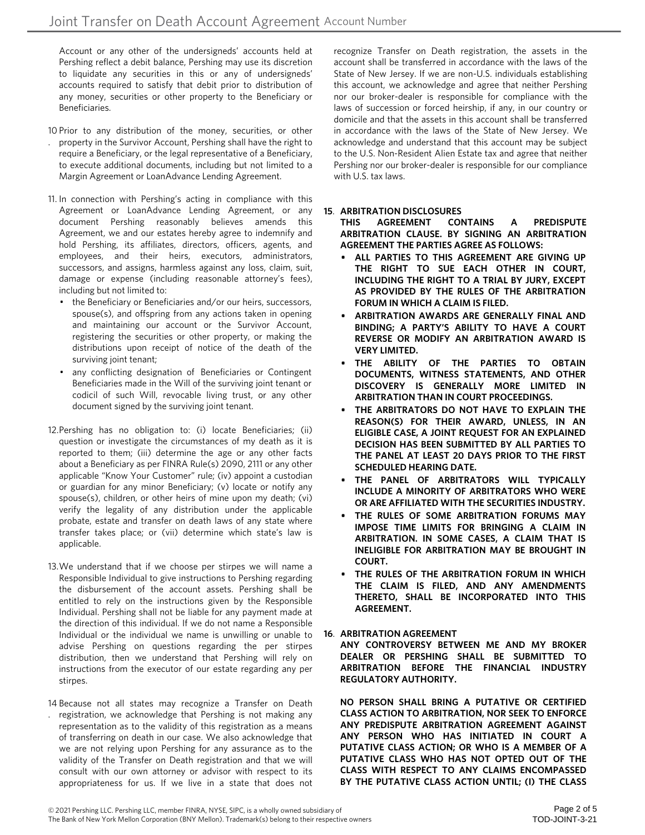Account or any other of the undersigneds' accounts held at Pershing reflect a debit balance, Pershing may use its discretion to liquidate any securities in this or any of undersigneds' accounts required to satisfy that debit prior to distribution of any money, securities or other property to the Beneficiary or Beneficiaries.

- 10 Prior to any distribution of the money, securities, or other
- . property in the Survivor Account, Pershing shall have the right to require a Beneficiary, or the legal representative of a Beneficiary, to execute additional documents, including but not limited to a Margin Agreement or LoanAdvance Lending Agreement.
- 11. In connection with Pershing's acting in compliance with this Agreement or LoanAdvance Lending Agreement, or any document Pershing reasonably believes amends this Agreement, we and our estates hereby agree to indemnify and hold Pershing, its affiliates, directors, officers, agents, and employees, and their heirs, executors, administrators, successors, and assigns, harmless against any loss, claim, suit, damage or expense (including reasonable attorney's fees), including but not limited to:
	- the Beneficiary or Beneficiaries and/or our heirs, successors, spouse(s), and offspring from any actions taken in opening and maintaining our account or the Survivor Account, registering the securities or other property, or making the distributions upon receipt of notice of the death of the surviving joint tenant;
	- any conflicting designation of Beneficiaries or Contingent Beneficiaries made in the Will of the surviving joint tenant or codicil of such Will, revocable living trust, or any other document signed by the surviving joint tenant.
- 12.Pershing has no obligation to: (i) locate Beneficiaries; (ii) question or investigate the circumstances of my death as it is reported to them; (iii) determine the age or any other facts about a Beneficiary as per FINRA Rule(s) 2090, 2111 or any other applicable "Know Your Customer" rule; (iv) appoint a custodian or guardian for any minor Beneficiary; (v) locate or notify any spouse(s), children, or other heirs of mine upon my death; (vi) verify the legality of any distribution under the applicable probate, estate and transfer on death laws of any state where transfer takes place; or (vii) determine which state's law is applicable.
- 13.We understand that if we choose per stirpes we will name a Responsible Individual to give instructions to Pershing regarding the disbursement of the account assets. Pershing shall be entitled to rely on the instructions given by the Responsible Individual. Pershing shall not be liable for any payment made at the direction of this individual. If we do not name a Responsible Individual or the individual we name is unwilling or unable to advise Pershing on questions regarding the per stirpes distribution, then we understand that Pershing will rely on instructions from the executor of our estate regarding any per stirpes.
- 14 Because not all states may recognize a Transfer on Death registration, we acknowledge that Pershing is not making any representation as to the validity of this registration as a means of transferring on death in our case. We also acknowledge that we are not relying upon Pershing for any assurance as to the validity of the Transfer on Death registration and that we will consult with our own attorney or advisor with respect to its appropriateness for us. If we live in a state that does not .

recognize Transfer on Death registration, the assets in the account shall be transferred in accordance with the laws of the State of New Jersey. If we are non-U.S. individuals establishing this account, we acknowledge and agree that neither Pershing nor our broker-dealer is responsible for compliance with the laws of succession or forced heirship, if any, in our country or domicile and that the assets in this account shall be transferred in accordance with the laws of the State of New Jersey. We acknowledge and understand that this account may be subject to the U.S. Non-Resident Alien Estate tax and agree that neither Pershing nor our broker-dealer is responsible for our compliance with U.S. tax laws.

## **15**. **ARBITRATION DISCLOSURES**

**THIS AGREEMENT CONTAINS A PREDISPUTE ARBITRATION CLAUSE. BY SIGNING AN ARBITRATION AGREEMENT THE PARTIES AGREE AS FOLLOWS:**

- **ALL PARTIES TO THIS AGREEMENT ARE GIVING UP THE RIGHT TO SUE EACH OTHER IN COURT, INCLUDING THE RIGHT TO A TRIAL BY JURY, EXCEPT AS PROVIDED BY THE RULES OF THE ARBITRATION FORUM IN WHICH A CLAIM IS FILED.**
- **• ARBITRATION AWARDS ARE GENERALLY FINAL AND BINDING; A PARTY'S ABILITY TO HAVE A COURT REVERSE OR MODIFY AN ARBITRATION AWARD IS VERY LIMITED.**
- **• THE ABILITY OF THE PARTIES TO OBTAIN DOCUMENTS, WITNESS STATEMENTS, AND OTHER DISCOVERY IS GENERALLY MORE LIMITED IN ARBITRATION THAN IN COURT PROCEEDINGS.**
- **• THE ARBITRATORS DO NOT HAVE TO EXPLAIN THE REASON(S) FOR THEIR AWARD, UNLESS, IN AN ELIGIBLE CASE, A JOINT REQUEST FOR AN EXPLAINED DECISION HAS BEEN SUBMITTED BY ALL PARTIES TO THE PANEL AT LEAST 20 DAYS PRIOR TO THE FIRST SCHEDULED HEARING DATE.**
- **• THE PANEL OF ARBITRATORS WILL TYPICALLY INCLUDE A MINORITY OF ARBITRATORS WHO WERE OR ARE AFFILIATED WITH THE SECURITIES INDUSTRY.**
- **• THE RULES OF SOME ARBITRATION FORUMS MAY IMPOSE TIME LIMITS FOR BRINGING A CLAIM IN ARBITRATION. IN SOME CASES, A CLAIM THAT IS INELIGIBLE FOR ARBITRATION MAY BE BROUGHT IN COURT.**
- **• THE RULES OF THE ARBITRATION FORUM IN WHICH THE CLAIM IS FILED, AND ANY AMENDMENTS THERETO, SHALL BE INCORPORATED INTO THIS AGREEMENT.**

#### **ARBITRATION AGREEMENT 16**.

**ANY CONTROVERSY BETWEEN ME AND MY BROKER DEALER OR PERSHING SHALL BE SUBMITTED TO ARBITRATION BEFORE THE FINANCIAL INDUSTRY REGULATORY AUTHORITY.**

**NO PERSON SHALL BRING A PUTATIVE OR CERTIFIED CLASS ACTION TO ARBITRATION, NOR SEEK TO ENFORCE ANY PREDISPUTE ARBITRATION AGREEMENT AGAINST ANY PERSON WHO HAS INITIATED IN COURT A PUTATIVE CLASS ACTION; OR WHO IS A MEMBER OF A PUTATIVE CLASS WHO HAS NOT OPTED OUT OF THE CLASS WITH RESPECT TO ANY CLAIMS ENCOMPASSED BY THE PUTATIVE CLASS ACTION UNTIL; (I) THE CLASS**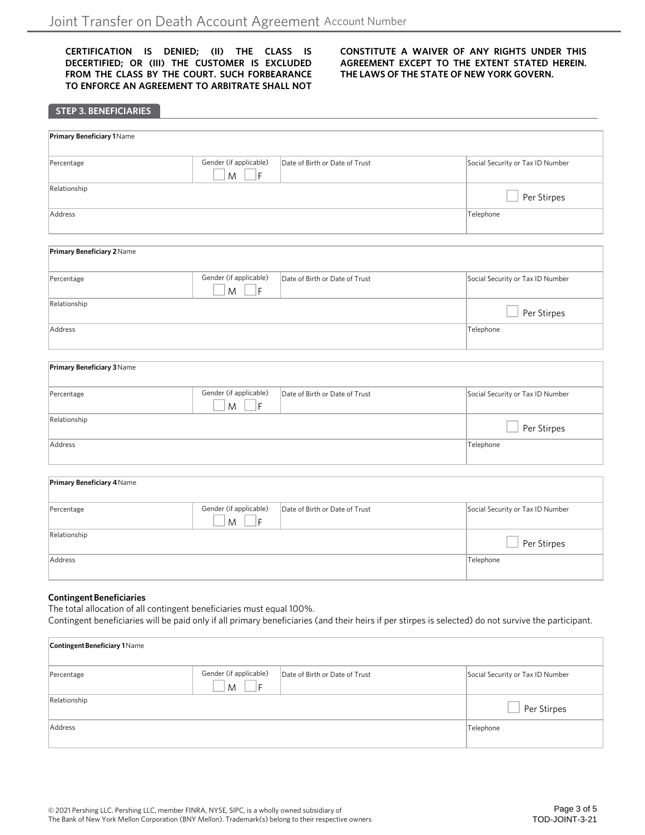**CERTIFICATION IS DENIED; (II) THE CLASS IS DECERTIFIED; OR (III) THE CUSTOMER IS EXCLUDED FROM THE CLASS BY THE COURT. SUCH FORBEARANCE TO ENFORCE AN AGREEMENT TO ARBITRATE SHALL NOT** **CONSTITUTE A WAIVER OF ANY RIGHTS UNDER THIS AGREEMENT EXCEPT TO THE EXTENT STATED HEREIN. THE LAWS OF THE STATE OF NEW YORK GOVERN.**

| <b>STEP 3. BENEFICIARIES</b>      |                                            |                                |                                  |
|-----------------------------------|--------------------------------------------|--------------------------------|----------------------------------|
| <b>Primary Beneficiary 1 Name</b> |                                            |                                |                                  |
| Percentage                        | Gender (if applicable)<br>M<br>F           | Date of Birth or Date of Trust | Social Security or Tax ID Number |
| Relationship                      |                                            |                                | Per Stirpes                      |
| Address                           |                                            |                                | Telephone                        |
| Primary Beneficiary 2 Name        |                                            |                                |                                  |
| Percentage                        | Gender (if applicable)<br>$\mathsf F$<br>M | Date of Birth or Date of Trust | Social Security or Tax ID Number |
| Relationship                      |                                            |                                | Per Stirpes                      |
| Address                           |                                            |                                | Telephone                        |
| Primary Beneficiary 3 Name        |                                            |                                |                                  |
| Percentage                        | Gender (if applicable)<br>F<br>M           | Date of Birth or Date of Trust | Social Security or Tax ID Number |
| Relationship                      |                                            |                                | Per Stirpes                      |
| Address                           |                                            | Telephone                      |                                  |
| Primary Beneficiary 4 Name        |                                            |                                |                                  |
| Percentage                        | Gender (if applicable)<br>M<br>F           | Date of Birth or Date of Trust | Social Security or Tax ID Number |
| Relationship                      |                                            |                                | Per Stirpes                      |
| Address                           |                                            |                                | Telephone                        |

#### **Contingent Beneficiaries**

The total allocation of all contingent beneficiaries must equal 100%. Contingent beneficiaries will be paid only if all primary beneficiaries (and their heirs if per stirpes is selected) do not survive the participant.

| <b>Contingent Beneficiary 1 Name</b> |                                    |                                |                                  |
|--------------------------------------|------------------------------------|--------------------------------|----------------------------------|
| Percentage                           | Gender (if applicable)<br>M<br>l F | Date of Birth or Date of Trust | Social Security or Tax ID Number |
| Relationship                         |                                    |                                | Per Stirpes                      |
| Address                              |                                    |                                | Telephone                        |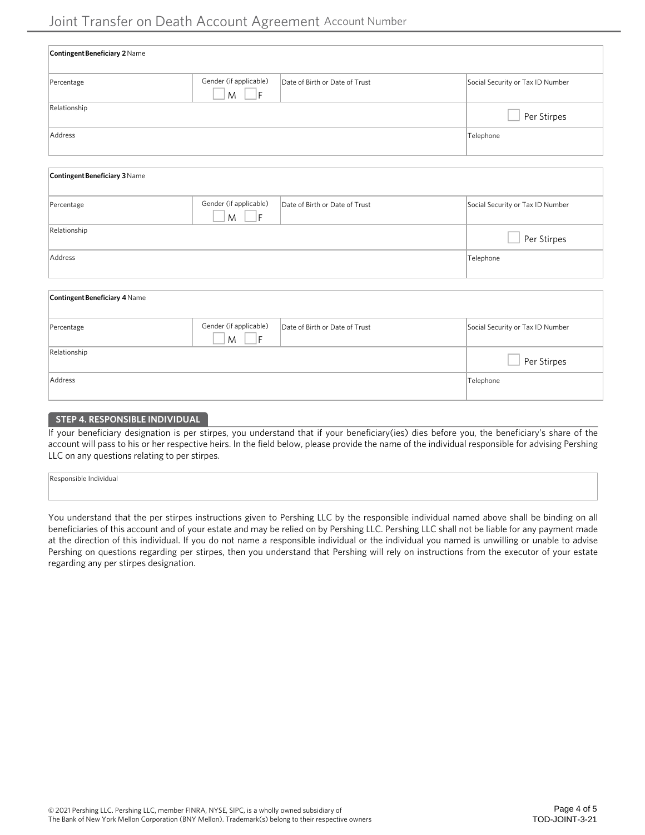| Contingent Beneficiary 2 Name |                                     |                                |                                  |
|-------------------------------|-------------------------------------|--------------------------------|----------------------------------|
| Percentage                    | Gender (if applicable)<br>M<br>- IF | Date of Birth or Date of Trust | Social Security or Tax ID Number |
| Relationship                  |                                     |                                | Per Stirpes                      |
| Address                       |                                     |                                | Telephone                        |
| Contingent Beneficiary 3 Name |                                     |                                |                                  |
| Percentage                    | Gender (if applicable)<br> F <br>M  | Date of Birth or Date of Trust | Social Security or Tax ID Number |
| Relationship                  |                                     |                                | Per Stirpes                      |
| Address                       |                                     |                                | Telephone                        |
| Contingent Beneficiary 4 Name |                                     |                                |                                  |

| Percentage   | Gender (if applicable)<br>M | Date of Birth or Date of Trust | Social Security or Tax ID Number |
|--------------|-----------------------------|--------------------------------|----------------------------------|
| Relationship |                             |                                | Per Stirpes                      |
| Address      |                             |                                | Telephone                        |

# **STEP 4. RESPONSIBLE INDIVIDUAL**

If your beneficiary designation is per stirpes, you understand that if your beneficiary(ies) dies before you, the beneficiary's share of the account will pass to his or her respective heirs. In the field below, please provide the name of the individual responsible for advising Pershing LLC on any questions relating to per stirpes.

| s individuo:<br>$\mathbf{v}$ |  |  |  |
|------------------------------|--|--|--|
|                              |  |  |  |
|                              |  |  |  |
|                              |  |  |  |

You understand that the per stirpes instructions given to Pershing LLC by the responsible individual named above shall be binding on all beneficiaries of this account and of your estate and may be relied on by Pershing LLC. Pershing LLC shall not be liable for any payment made at the direction of this individual. If you do not name a responsible individual or the individual you named is unwilling or unable to advise Pershing on questions regarding per stirpes, then you understand that Pershing will rely on instructions from the executor of your estate regarding any per stirpes designation.